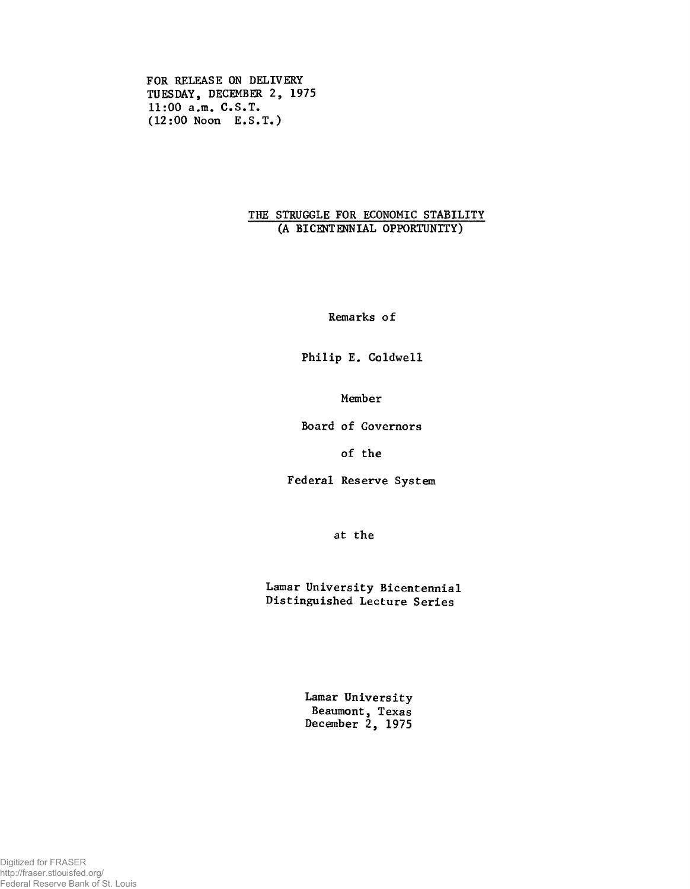**FOR RELEASE ON DELIVERY TUESDAY, DECEMBER 2, 1975 11:00 a.m. C.S.T. (12:00 Noon E.S.T.)**

## **THE STRUGGLE FOR ECONOMIC STABILITY (A BICENTENNIAL OPPORTUNITY)**

**Remarks of**

**Philip E. Coldwell**

**Member**

**Board of Governors**

**of the**

**Federal Reserve System**

**at the**

**Lamar University Bicentennial Distinguished Lecture Series**

> **Lamar University Beaumont, Texas December 2, 1975**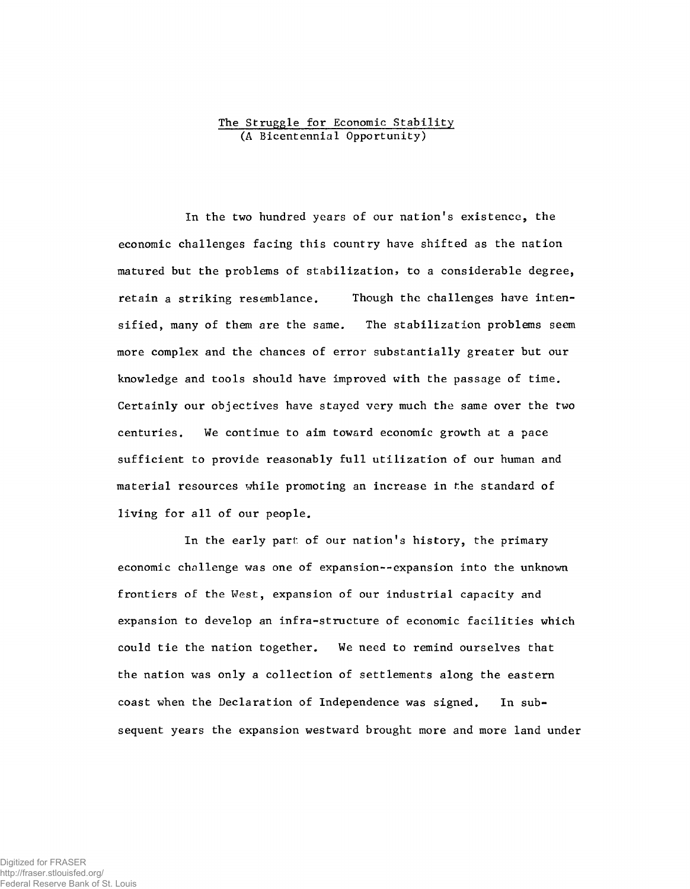## The Struggle for Economic Stability (A Bicentennial Opportunity)

In the two hundred years of our nation's existence, the economic challenges facing this country have shifted as the nation matured but the problems of stabilization, to a considerable degree, retain a striking resemblance. Though the challenges have intensified, many of them are the same. The stabilization problems seem more complex and the chances of error substantially greater but our knowledge and tools should have improved with the passage of time. Certainly our objectives have stayed very much the same over the two centuries. We continue to aim toward economic growth at a pace sufficient to provide reasonably full utilization of our human and material resources while promoting an increase in the standard of living for all of our people.

In the early part: of our nation's history, the primary economic challenge was one of expansion--expansion into the unknown frontiers of the West, expansion of our industrial capacity and expansion to develop an infra-structure of economic facilities which could tie the nation together. We need to remind ourselves that the nation was only a collection of settlements along the eastern coast when the Declaration of Independence was signed. In subsequent years the expansion westward brought more and more land under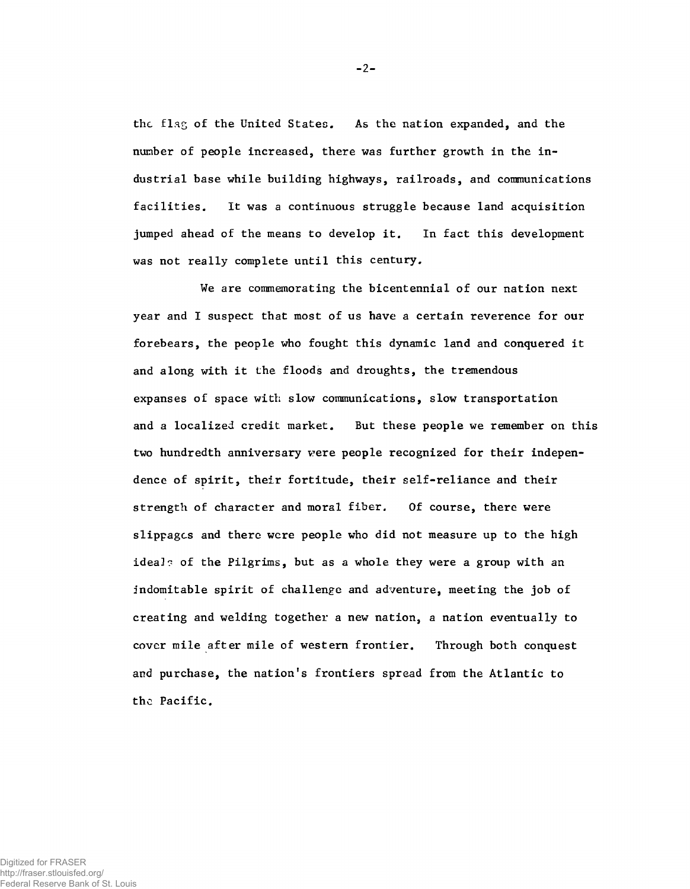**thc flag of the United States. As the nation expanded, and the number of people increased, there was further growth in the industrial base while building highways, railroads, and communications facilities. It was a continuous struggle because land acquisition jumped ahead of the means to develop it. In fact this development was not really complete until this century.**

**We are commemorating the bicentennial of our nation next year and I suspect that most of us have a certain reverence for our forebears, the people who fought this dynamic land and conquered it and along with it the floods and droughts, the tremendous expanses of space with slow communications, slow transportation and a localized credit market. But these people we remember on this** two hundredth anniversary were people recognized for their indepen**dence of spirit, their fortitude, their self-reliance and their strength of character and moral fiber. Of course, there were slippages and there were people who did not measure up to the high ideal? of the Pilgrims, but as a whole they were a group with an indomitable spirit of challenge and adventure, meeting the job of creating and welding together a new nation, a nation eventually to cover mile after mile of western frontier. Through both conquest and purchase, the nation's frontiers spread from the Atlantic to the Pacific.**

 $-2-$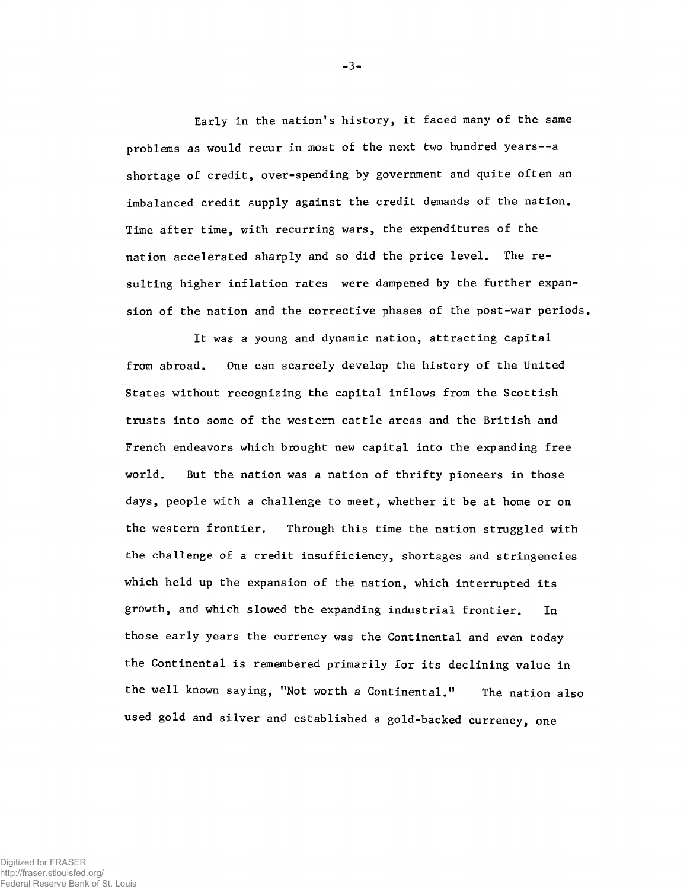**Early in the nation's history, it faced many of the same problems as would recur in most of the next two hundred years— a shortage of credit, over-spending by government and quite often an imbalanced credit supply against the credit demands of the nation. Time after time, with recurring wars, the expenditures of the nation accelerated sharply and so did the price level. The resulting higher inflation rates were dampened by the further expansion of the nation and the corrective phases of the post-war periods.**

**It was a young and dynamic nation, attracting capital from abroad. One can scarcely develop the history of the United States without recognizing the capital inflows from the Scottish trusts into some of the western cattle areas and the British and French endeavors which brought new capital into the expanding free world. But the nation was a nation of thrifty pioneers in those days, people with a challenge to meet, whether it be at home or on the western frontier. Through this time the nation struggled with the challenge of a credit insufficiency, shortages and stringencies which held up the expansion of the nation, which interrupted its growth, and which slowed the expanding industrial frontier. In those early years the currency was the Continental and even today the Continental is remembered primarily for its declining value in the well known saying, "Not worth a Continental." The nation also used gold and silver and established a gold-backed currency, one**

-3-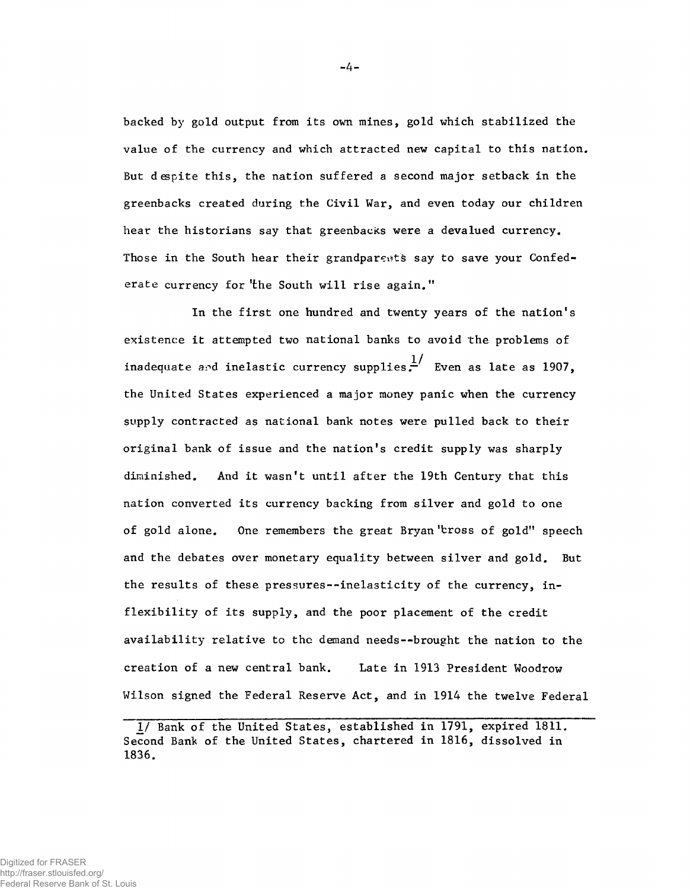backed by gold output from its own mines, gold which stabilized the value of the currency and which attracted new capital to this nation. But despite this, the nation suffered a second major setback in the greenbacks created during the Civil War, and even today our children hear the historians say that greenbacks were a devalued currency. Those in the South hear their grandparents say to save your Confederate currency for the South will rise again."

In the first one hundred and twenty years of the nation's **existence it attempted two national banks to avoid the problems of inadequate and inelastic currency supplies.** Even as late as 1907, **the United States experienced a major money panic when the currency supply contracted as national bank notes were pulled back to their original bank of issue and the nation's credit supply was sharply diminished. And it wasn't until after the 19th Century that this nation converted its currency backing from silver and gold to one of gold alone. One remembers the great Bryan 'bross of gold" speech and the debates over monetary equality between silver and gold. But the results of these pressures--inelasticity of the currency, inflexibility of its supply, and the poor placement of the credit availability relative to the demand needs— brought the nation to the creation of a new central bank. Late in 1913 President Woodrow Wilson signed the Federal Reserve Act, and in 1914 the twelve Federal**

-4-

*<sup>1/</sup>* **Bank of the United States, established in 1791, expired 1811. Second Bank of the United States, chartered in 1816, dissolved in 1836.**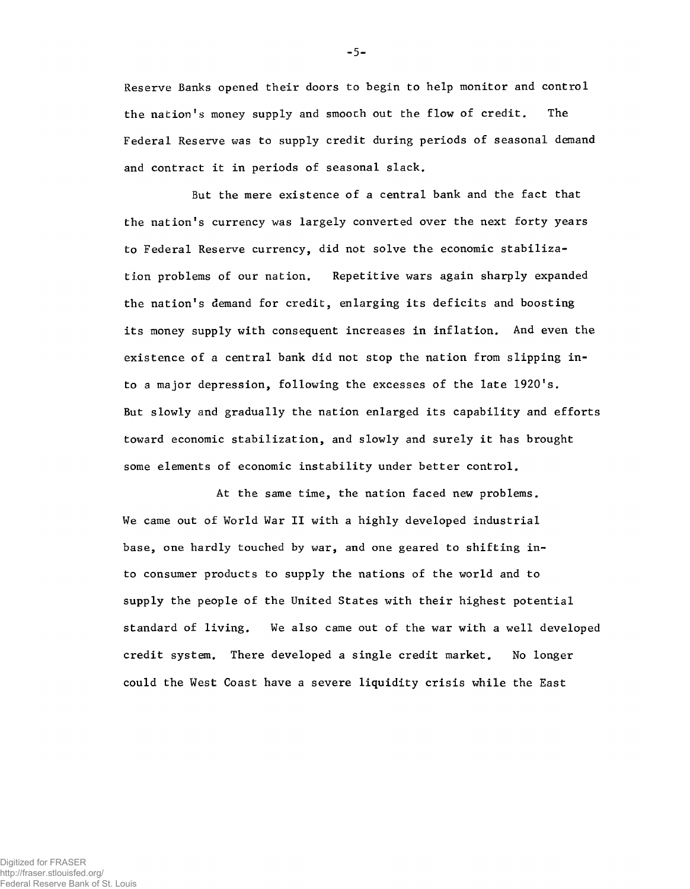**Reserve Banks opened their doors to begin to help monitor and control** the nation's money supply and smooth out the flow of credit. The **Federal Reserve was to supply credit during periods of seasonal demand and contract it in periods of seasonal slack.**

But the mere existence of a central bank and the fact that the nation's currency was largely converted over the next forty years to Federal Reserve currency, did not solve the economic stabilization problems of our nation. Repetitive wars again sharply expanded the nation's demand for credit, enlarging its deficits and boosting its money supply with consequent increases in inflation. And even the existence of a central bank did not stop the nation from slipping into a major depression, following the excesses of the late 1920's. **But slowly and gradually the nation enlarged its capability and efforts toward economic stabilization, and slowly and surely it has brought some elements of economic instability under better control.**

At the same time, the nation faced new problems. We came out of World War II with a highly developed industrial base, one hardly touched by war, and one geared to shifting into consumer products to supply the nations of the world and to supply the people of the United States with their highest potential standard of living. We also came out of the war with a well developed credit system. There developed a single credit market. No longer could the West Coast have a severe liquidity crisis while the East

 $-5-$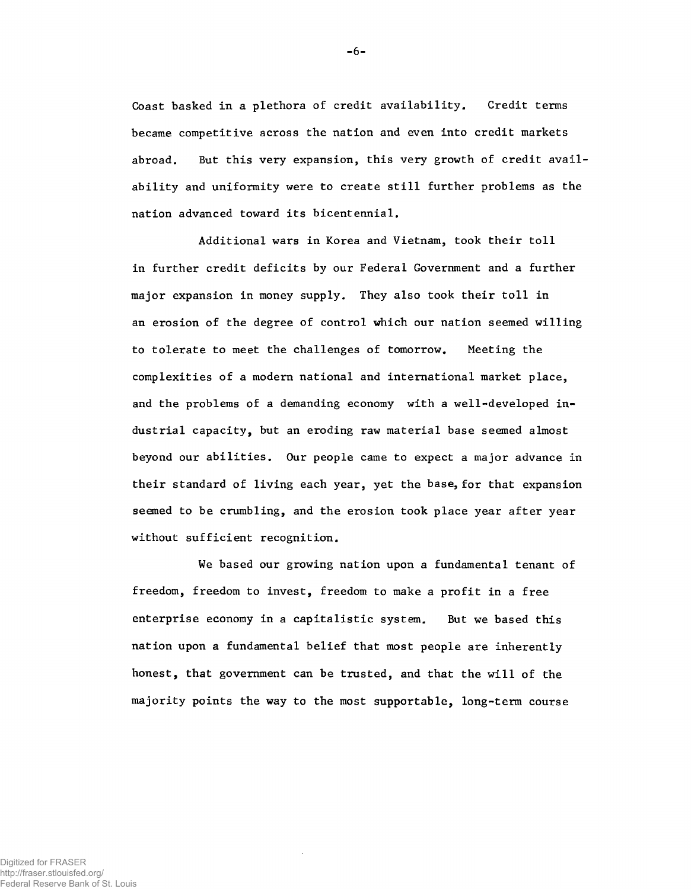**Coast basked in a plethora of credit availability. Credit terms became competitive across the nation and even into credit markets abroad. But this very expansion, this very growth of credit availability and uniformity were to create still further problems as the nation advanced toward its bicentennial.**

**Additional wars in Korea and Vietnam, took their toll in further credit deficits by our Federal Government and a further major expansion in money supply. They also took their toll in an erosion of the degree of control which our nation seemed willing to tolerate to meet the challenges of tomorrow. Meeting the complexities of a modern national and international market place, and the problems of a demanding economy with a well-developed industrial capacity, but an eroding raw material base seemed almost beyond our abilities. Our people came to expect a major advance in their standard of living each year, yet the base, for that expansion seemed to be crumbling, and the erosion took place year after year without sufficient recognition.**

**We based our growing nation upon a fundamental tenant of freedom, freedom to invest, freedom to make a profit in a free enterprise economy in a capitalistic system. But we based this nation upon a fundamental belief that most people are inherently honest, that government can be trusted, and that the will of the majority points the way to the most supportable, long-term course**

-6-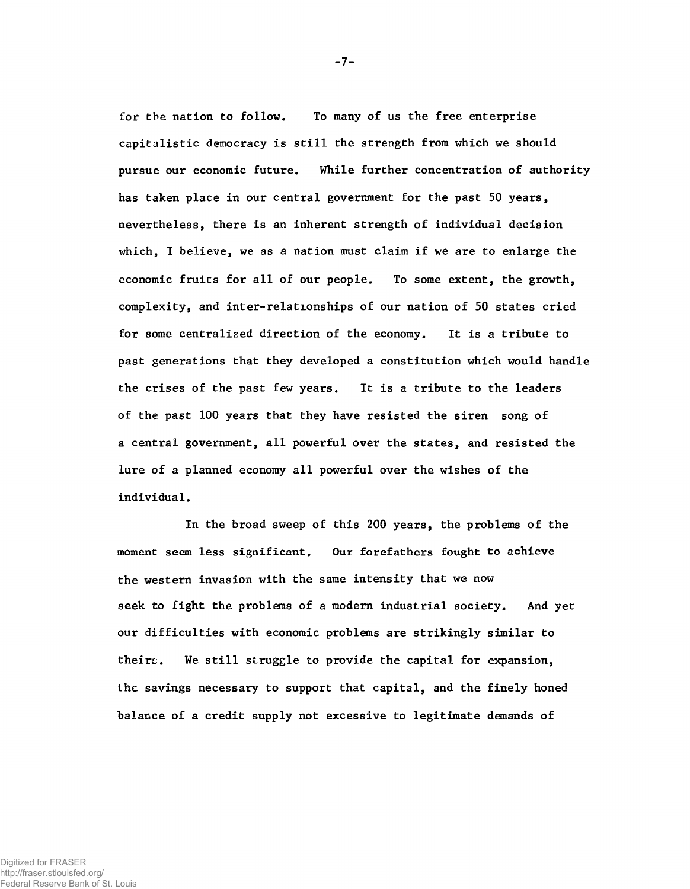**Cor the nation to follow. To many of us the free enterprise capitalistic democracy is still the strength from which we should pursue our economic future. While further concentration of authority has taken place in our central government for the past 50 years, nevertheless, there is an inherent strength of individual decision which, I believe, we as a nation must claim if we are to enlarge the economic fruics for all of our people. To some extent, the growth, complexity, and inter-relationships of our nation of 50 states cried for some centralized direction of the economy. It is a tribute to past generations that they developed a constitution which would handle the crises of the past few years. It is a tribute to the leaders of the past 100 years that they have resisted the siren song of a central government, all powerful over the states, and resisted the lure of a planned economy all powerful over the wishes of the individual.**

**In the broad sweep of this 200 years, the problems of the moment seem less significant. Our forefathers fought to achieve the western invasion with the same intensity that we now seek to fight the problems of a modern industrial society. And yet our difficulties with economic problems are strikingly similar to theirs. We still struggle to provide the capital for expansion, the savings necessary to support that capital, and the finely honed balance of a credit supply not excessive to legitimate demands of**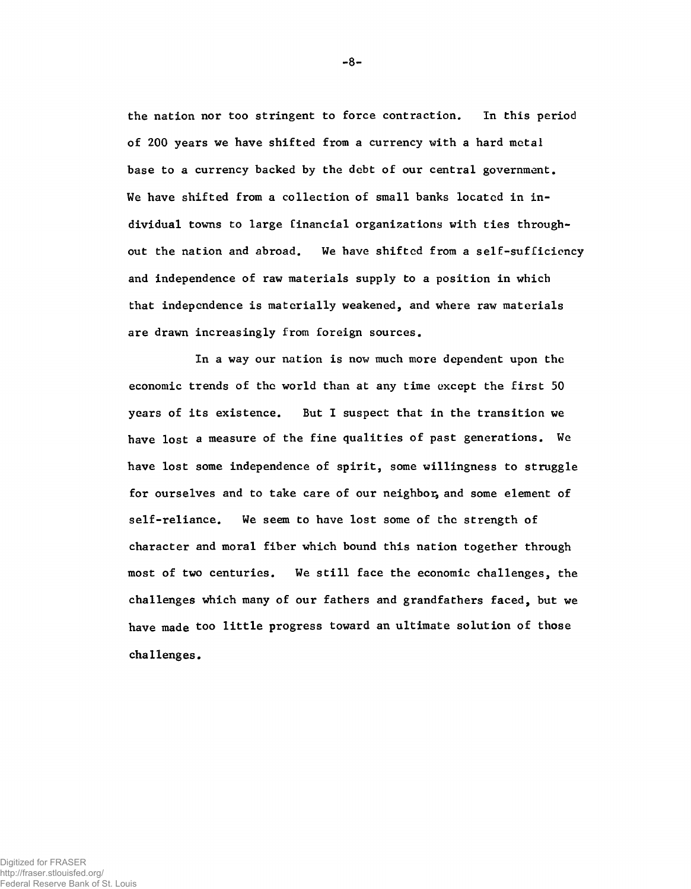**the nation nor too stringent to force contraction. In this period of 200 years we have shifted from a currency with a hard metal base to a currency backed by the debt of our central government. We have shifted from a collection of small banks located in individual towns to large financial organizations with ties throughout the nation and abroad. We have shifted from a self-sufficiency and independence of raw materials supply to a position in which that independence is materially weakened, and where raw materials are drawn increasingly from foreign sources.**

**In a way our nation is now much more dependent upon the economic trends of the world than at any time except the first 50 years of its existence. But I suspect that in the transition we have lost a measure of the fine qualities of past generations. We have lost some independence of spirit, some willingness to struggle for ourselves and to take care of our neighbor, and some element of self-reliance. We seem to have lost some of the strength of character and moral fiber which bound this nation together through most of two centuries. We still face the economic challenges, the challenges which many of our fathers and grandfathers faced, but we have made too little progress toward an ultimate solution of those challenges.**

-8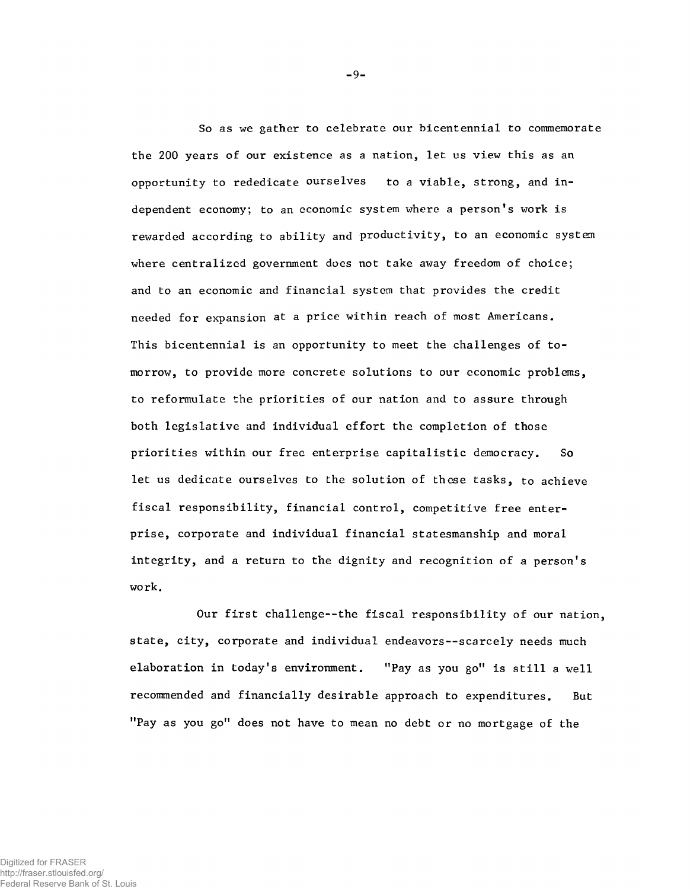**So as we gather to celebrate our bicentennial to commemorate the 200 years of our existence as a nation, let us view this as an opportunity to rededicate ourselves to a viable, strong, and independent economy; to an economic system where a person's work is rewarded according to ability and productivity, to an economic system where centralized government does not take away freedom of choice; and to an economic and financial system that provides the credit needed for expansion at a price within reach of most Americans. This bicentennial is an opportunity to meet the challenges of tomorrow, to provide more concrete solutions to our economic problems, to reformulate the priorities of our nation and to assure through both legislative and individual effort the completion of those priorities within our free enterprise capitalistic democracy. So let us dedicate ourselves to the solution of these tasks, to achieve fiscal responsibility, financial control, competitive free enterprise, corporate and individual financial statesmanship and moral integrity, and a return to the dignity and recognition of a person's work.**

**Our first challenge— the fiscal responsibility of our nation, state, city, corporate and individual endeavors— scarcely needs much elaboration in today's environment. "Pay as you go" is still a well recommended and financially desirable approach to expenditures. But "Pay as you go" does not have to mean no debt or no mortgage of the**

-9-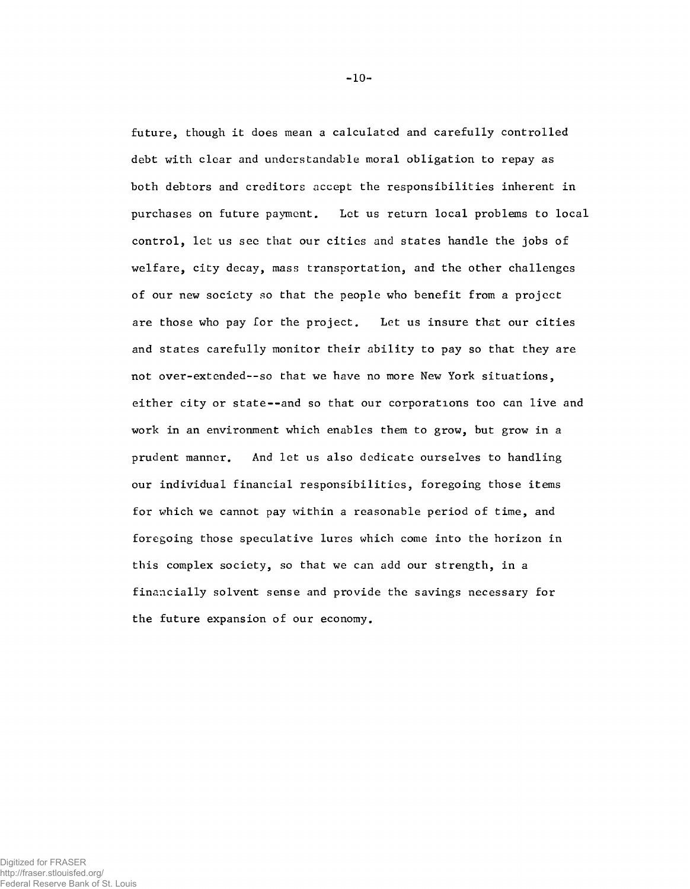**future, though it does mean a calculated and carefully controlled debt with clear and understandable moral obligation to repay as both debtors and creditors accept the responsibilities inherent in purchases on future payment. Let us return local problems to local control, let us see that our cities and states handle the jobs of welfare, city decay, mass transportation, and the other challenges of our new society so that the people who benefit from a project are those who pay for the project. Let us insure that our cities and states carefully monitor their ability to pay so that they are not over-extended— so that we have no more New York situations, either city or state--and so that our corporations too can live and work in an environment which enables them to grow, but grow in a prudent manner. And let us also dedicate ourselves to handling our individual financial responsibilities, foregoing those items for which we cannot pay within a reasonable period of time, and foregoing those speculative lures which come into the horizon in this complex society, so that we can add our strength, in a financially solvent sense and provide the savings necessary for the future expansion of our economy.**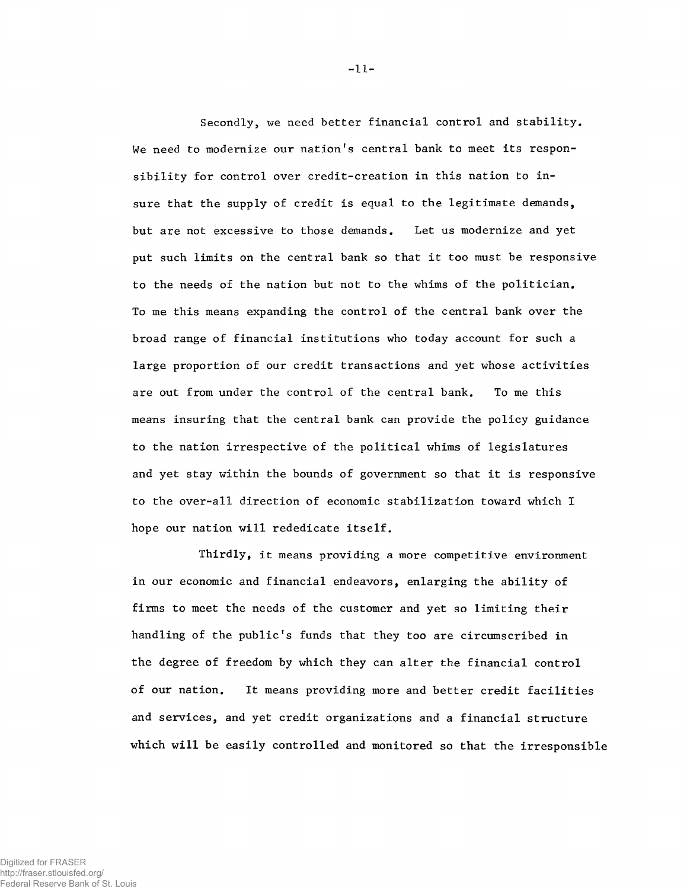Secondly, we need better financial control and stability. **We need to modernize our nation's central bank to meet its responsibility for control over credit-creation in this nation to insure that the supply of credit is equal to the legitimate demands, but are not excessive to those demands. Let us modernize and yet put such limits on the central bank so that it too must be responsive to the needs of the nation but not to the whims of the politician. To me this means expanding the control of the central bank over the broad range of financial institutions who today account for such a large proportion of our credit transactions and yet whose activities are out from under the control of the central bank. To me this means insuring that the central bank can provide the policy guidance to the nation irrespective of the political whims of legislatures and yet stay within the bounds of government so that it is responsive to the over-all direction of economic stabilization toward which I hope our nation will rededicate itself.**

**Thirdly, it means providing a more competitive environment in our economic and financial endeavors, enlarging the ability of firms to meet the needs of the customer and yet so limiting their handling of the public's funds that they too are circumscribed in the degree of freedom by which they can alter the financial control of our nation. It means providing more and better credit facilities and services, and yet credit organizations and a financial structure which will be easily controlled and monitored so that the irresponsible**

-11-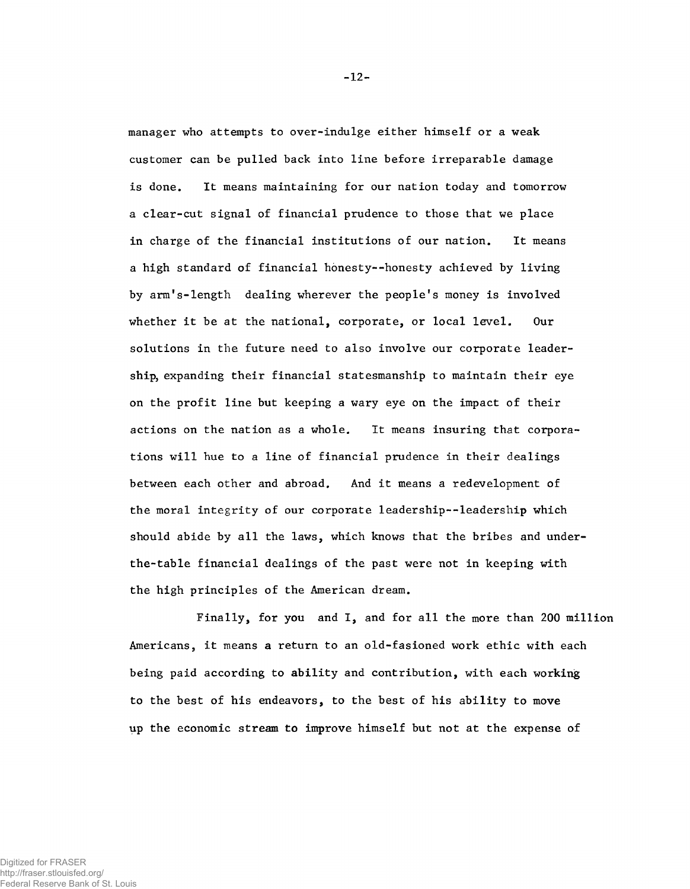**manager who attempts to over-indulge either himself or a weak customer can be pulled back into line before irreparable damage is done. It means maintaining for our nation today and tomorrow a clear-cut signal of financial prudence to those that we place in charge of the financial institutions of our nation. It means a high standard of financial honesty--honesty achieved by living by arm1s-length dealing wherever the people's money is involved whether it be at the national, corporate, or local level. Our solutions in the future need to also involve our corporate leadership, expanding their financial statesmanship to maintain their eye on the profit line but keeping a wary eye on the impact of their actions on the nation as a whole. It means insuring that corporations will hue to a line of financial prudence in their dealings between each other and abroad. And it means a redevelopment of the moral integrity of our corporate leadership--leadership which should abide by all the laws, which knows that the bribes and underthe-table financial dealings of the past were not in keeping with the high principles of the American dream.**

**Finally, for you and I, and for all the more than 200 million Americans, it means a return to an old-fasioned work ethic with each being paid according to ability and contribution, with each working to the best of his endeavors, to the best of his ability to move up the economic stream to improve himself but not at the expense of**

-12-